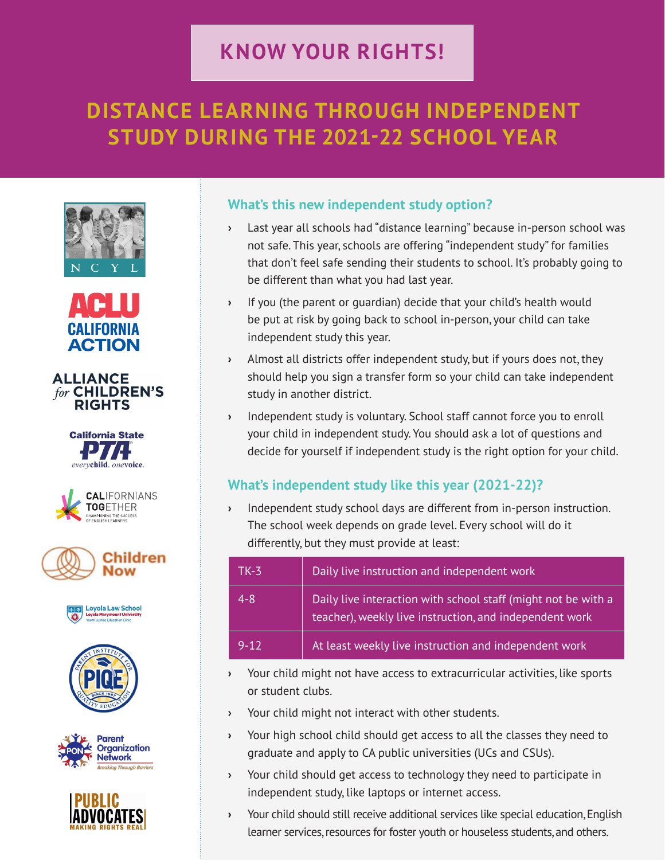## **KNOW YOUR RIGHTS!**

# **DISTANCE LEARNING THROUGH INDEPENDENT STUDY DURING THE 2021-22 SCHOOL YEAR**





#### **ALLIANCE** for CHILDREN'S **RIGHTS**















## **What's this new independent study option?**

- **›** Last year all schools had "distance learning" because in-person school was not safe. This year, schools are offering "independent study" for families that don't feel safe sending their students to school. It's probably going to be different than what you had last year.
- **›** If you (the parent or guardian) decide that your child's health would be put at risk by going back to school in-person, your child can take independent study this year.
- **›** Almost all districts offer independent study, but if yours does not, they should help you sign a transfer form so your child can take independent study in another district.
- **›** Independent study is voluntary. School staff cannot force you to enroll your child in independent study. You should ask a lot of questions and decide for yourself if independent study is the right option for your child.

## **What's independent study like this year (2021-22)?**

**›** Independent study school days are different from in-person instruction. The school week depends on grade level. Every school will do it differently, but they must provide at least:

| $TK-3$   | Daily live instruction and independent work                                                                              |
|----------|--------------------------------------------------------------------------------------------------------------------------|
| $4 - 8$  | Daily live interaction with school staff (might not be with a<br>teacher), weekly live instruction, and independent work |
| $9 - 12$ | At least weekly live instruction and independent work                                                                    |

- **›** Your child might not have access to extracurricular activities, like sports or student clubs.
- **›** Your child might not interact with other students.
- **›** Your high school child should get access to all the classes they need to graduate and apply to CA public universities (UCs and CSUs).
- **›** Your child should get access to technology they need to participate in independent study, like laptops or internet access.
- **›** Your child should still receive additional services like special education, English learner services, resources for foster youth or houseless students, and others.